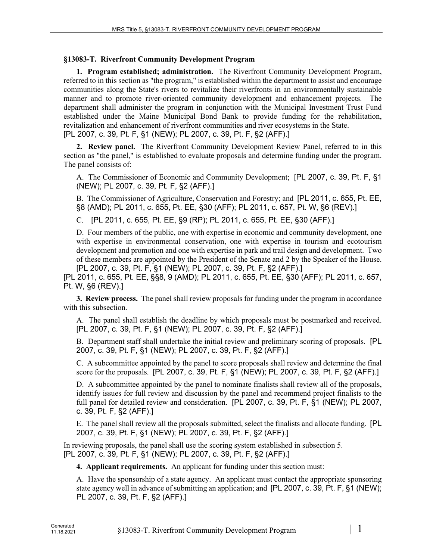## **§13083-T. Riverfront Community Development Program**

**1. Program established; administration.** The Riverfront Community Development Program, referred to in this section as "the program," is established within the department to assist and encourage communities along the State's rivers to revitalize their riverfronts in an environmentally sustainable manner and to promote river-oriented community development and enhancement projects. The department shall administer the program in conjunction with the Municipal Investment Trust Fund established under the Maine Municipal Bond Bank to provide funding for the rehabilitation, revitalization and enhancement of riverfront communities and river ecosystems in the State. [PL 2007, c. 39, Pt. F, §1 (NEW); PL 2007, c. 39, Pt. F, §2 (AFF).]

**2. Review panel.** The Riverfront Community Development Review Panel, referred to in this section as "the panel," is established to evaluate proposals and determine funding under the program. The panel consists of:

A. The Commissioner of Economic and Community Development; [PL 2007, c. 39, Pt. F, §1 (NEW); PL 2007, c. 39, Pt. F, §2 (AFF).]

B. The Commissioner of Agriculture, Conservation and Forestry; and [PL 2011, c. 655, Pt. EE, §8 (AMD); PL 2011, c. 655, Pt. EE, §30 (AFF); PL 2011, c. 657, Pt. W, §6 (REV).]

C. [PL 2011, c. 655, Pt. EE, §9 (RP); PL 2011, c. 655, Pt. EE, §30 (AFF).]

D. Four members of the public, one with expertise in economic and community development, one with expertise in environmental conservation, one with expertise in tourism and ecotourism development and promotion and one with expertise in park and trail design and development. Two of these members are appointed by the President of the Senate and 2 by the Speaker of the House. [PL 2007, c. 39, Pt. F, §1 (NEW); PL 2007, c. 39, Pt. F, §2 (AFF).]

[PL 2011, c. 655, Pt. EE, §§8, 9 (AMD); PL 2011, c. 655, Pt. EE, §30 (AFF); PL 2011, c. 657, Pt. W, §6 (REV).]

**3. Review process.** The panel shall review proposals for funding under the program in accordance with this subsection.

A. The panel shall establish the deadline by which proposals must be postmarked and received. [PL 2007, c. 39, Pt. F, §1 (NEW); PL 2007, c. 39, Pt. F, §2 (AFF).]

B. Department staff shall undertake the initial review and preliminary scoring of proposals. [PL 2007, c. 39, Pt. F, §1 (NEW); PL 2007, c. 39, Pt. F, §2 (AFF).]

C. A subcommittee appointed by the panel to score proposals shall review and determine the final score for the proposals. [PL 2007, c. 39, Pt. F, §1 (NEW); PL 2007, c. 39, Pt. F, §2 (AFF).]

D. A subcommittee appointed by the panel to nominate finalists shall review all of the proposals, identify issues for full review and discussion by the panel and recommend project finalists to the full panel for detailed review and consideration. [PL 2007, c. 39, Pt. F, §1 (NEW); PL 2007, c. 39, Pt. F, §2 (AFF).]

E. The panel shall review all the proposals submitted, select the finalists and allocate funding. [PL 2007, c. 39, Pt. F, §1 (NEW); PL 2007, c. 39, Pt. F, §2 (AFF).]

In reviewing proposals, the panel shall use the scoring system established in subsection 5. [PL 2007, c. 39, Pt. F, §1 (NEW); PL 2007, c. 39, Pt. F, §2 (AFF).]

**4. Applicant requirements.** An applicant for funding under this section must:

A. Have the sponsorship of a state agency. An applicant must contact the appropriate sponsoring state agency well in advance of submitting an application; and [PL 2007, c. 39, Pt. F, §1 (NEW); PL 2007, c. 39, Pt. F, §2 (AFF).]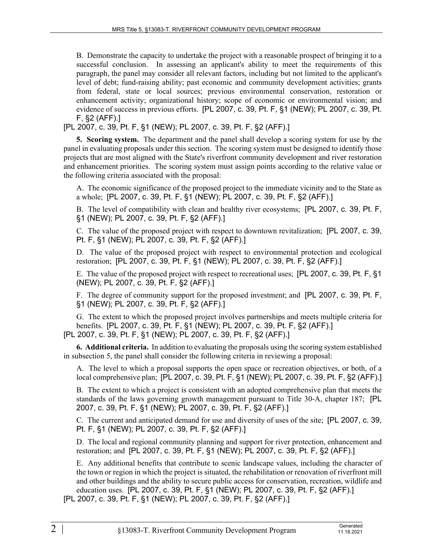B. Demonstrate the capacity to undertake the project with a reasonable prospect of bringing it to a successful conclusion. In assessing an applicant's ability to meet the requirements of this paragraph, the panel may consider all relevant factors, including but not limited to the applicant's level of debt; fund-raising ability; past economic and community development activities; grants from federal, state or local sources; previous environmental conservation, restoration or enhancement activity; organizational history; scope of economic or environmental vision; and evidence of success in previous efforts. [PL 2007, c. 39, Pt. F, §1 (NEW); PL 2007, c. 39, Pt. F, §2 (AFF).]

[PL 2007, c. 39, Pt. F, §1 (NEW); PL 2007, c. 39, Pt. F, §2 (AFF).]

**5. Scoring system.** The department and the panel shall develop a scoring system for use by the panel in evaluating proposals under this section. The scoring system must be designed to identify those projects that are most aligned with the State's riverfront community development and river restoration and enhancement priorities. The scoring system must assign points according to the relative value or the following criteria associated with the proposal:

A. The economic significance of the proposed project to the immediate vicinity and to the State as a whole; [PL 2007, c. 39, Pt. F, §1 (NEW); PL 2007, c. 39, Pt. F, §2 (AFF).]

B. The level of compatibility with clean and healthy river ecosystems; [PL 2007, c. 39, Pt. F, §1 (NEW); PL 2007, c. 39, Pt. F, §2 (AFF).]

C. The value of the proposed project with respect to downtown revitalization; [PL 2007, c. 39, Pt. F, §1 (NEW); PL 2007, c. 39, Pt. F, §2 (AFF).]

D. The value of the proposed project with respect to environmental protection and ecological restoration; [PL 2007, c. 39, Pt. F, §1 (NEW); PL 2007, c. 39, Pt. F, §2 (AFF).]

E. The value of the proposed project with respect to recreational uses; [PL 2007, c. 39, Pt. F, §1 (NEW); PL 2007, c. 39, Pt. F, §2 (AFF).]

F. The degree of community support for the proposed investment; and [PL 2007, c. 39, Pt. F, §1 (NEW); PL 2007, c. 39, Pt. F, §2 (AFF).]

G. The extent to which the proposed project involves partnerships and meets multiple criteria for benefits. [PL 2007, c. 39, Pt. F, §1 (NEW); PL 2007, c. 39, Pt. F, §2 (AFF).] [PL 2007, c. 39, Pt. F, §1 (NEW); PL 2007, c. 39, Pt. F, §2 (AFF).]

**6. Additional criteria.** In addition to evaluating the proposals using the scoring system established in subsection 5, the panel shall consider the following criteria in reviewing a proposal:

A. The level to which a proposal supports the open space or recreation objectives, or both, of a local comprehensive plan; [PL 2007, c. 39, Pt. F, §1 (NEW); PL 2007, c. 39, Pt. F, §2 (AFF).]

B. The extent to which a project is consistent with an adopted comprehensive plan that meets the standards of the laws governing growth management pursuant to Title 30‑A, chapter 187; [PL 2007, c. 39, Pt. F, §1 (NEW); PL 2007, c. 39, Pt. F, §2 (AFF).]

C. The current and anticipated demand for use and diversity of uses of the site; [PL 2007, c. 39, Pt. F, §1 (NEW); PL 2007, c. 39, Pt. F, §2 (AFF).]

D. The local and regional community planning and support for river protection, enhancement and restoration; and [PL 2007, c. 39, Pt. F, §1 (NEW); PL 2007, c. 39, Pt. F, §2 (AFF).]

E. Any additional benefits that contribute to scenic landscape values, including the character of the town or region in which the project is situated, the rehabilitation or renovation of riverfront mill and other buildings and the ability to secure public access for conservation, recreation, wildlife and education uses. [PL 2007, c. 39, Pt. F, §1 (NEW); PL 2007, c. 39, Pt. F, §2 (AFF).]

[PL 2007, c. 39, Pt. F, §1 (NEW); PL 2007, c. 39, Pt. F, §2 (AFF).]